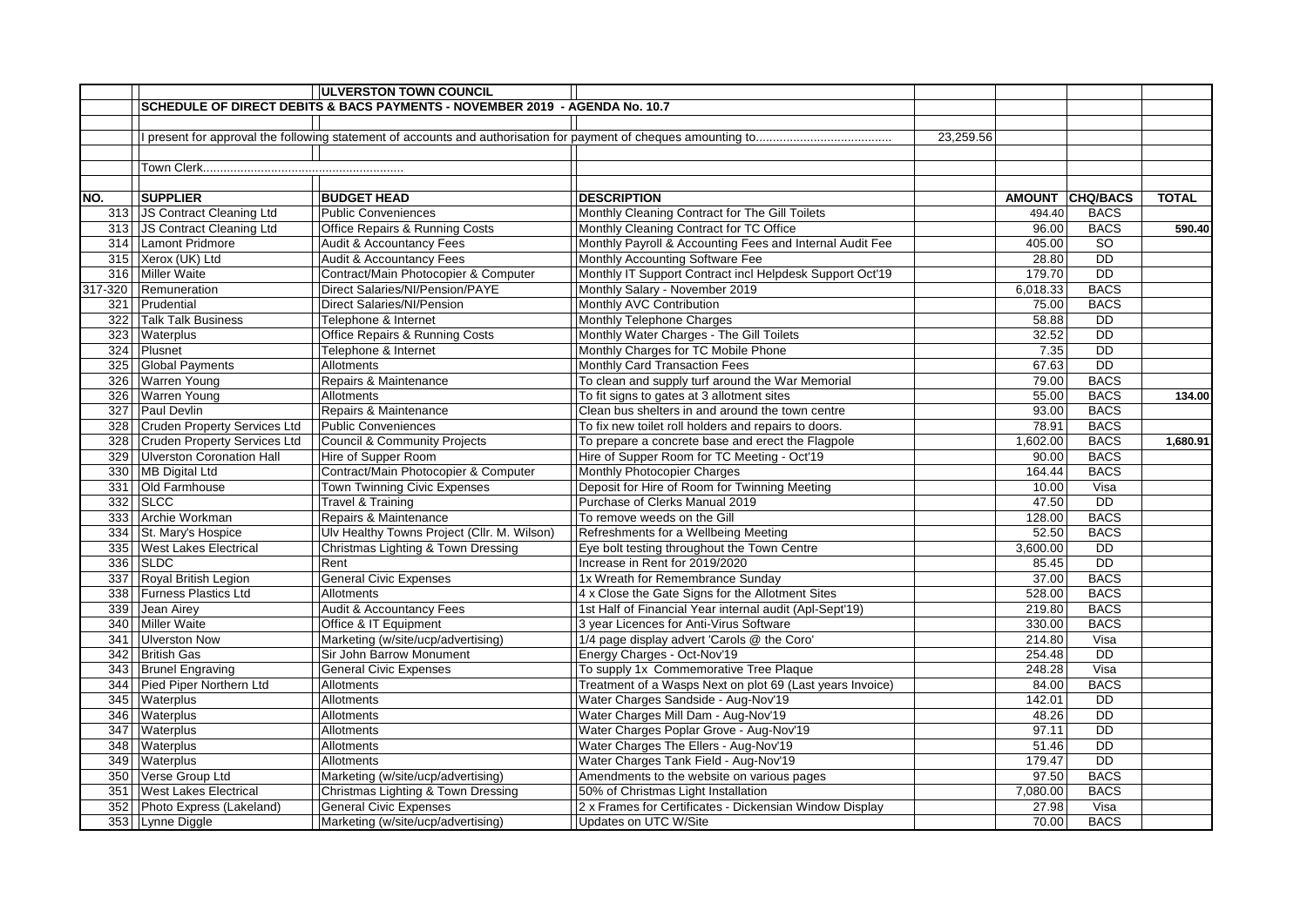|       |                                  | <b>ULVERSTON TOWN COUNCIL</b>                                               |                                                           |           |          |                 |              |
|-------|----------------------------------|-----------------------------------------------------------------------------|-----------------------------------------------------------|-----------|----------|-----------------|--------------|
|       |                                  | SCHEDULE OF DIRECT DEBITS & BACS PAYMENTS - NOVEMBER 2019 - AGENDA No. 10.7 |                                                           |           |          |                 |              |
|       |                                  |                                                                             |                                                           |           |          |                 |              |
|       |                                  |                                                                             |                                                           | 23,259.56 |          |                 |              |
|       |                                  |                                                                             |                                                           |           |          |                 |              |
|       |                                  |                                                                             |                                                           |           |          |                 |              |
|       |                                  |                                                                             |                                                           |           |          |                 |              |
| NO.   | <b>SUPPLIER</b>                  | <b>BUDGET HEAD</b>                                                          | <b>DESCRIPTION</b>                                        |           |          | AMOUNT CHQ/BACS | <b>TOTAL</b> |
|       | 313 JS Contract Cleaning Ltd     | <b>Public Conveniences</b>                                                  | Monthly Cleaning Contract for The Gill Toilets            |           | 494.40   | <b>BACS</b>     |              |
|       | 313 JS Contract Cleaning Ltd     | Office Repairs & Running Costs                                              | Monthly Cleaning Contract for TC Office                   |           | 96.00    | <b>BACS</b>     | 590.40       |
|       | 314 Lamont Pridmore              | <b>Audit &amp; Accountancy Fees</b>                                         | Monthly Payroll & Accounting Fees and Internal Audit Fee  |           | 405.00   | <b>SO</b>       |              |
|       | 315 Xerox (UK) Ltd               | Audit & Accountancy Fees                                                    | Monthly Accounting Software Fee                           |           | 28.80    | <b>DD</b>       |              |
|       | 316 Miller Waite                 | Contract/Main Photocopier & Computer                                        | Monthly IT Support Contract incl Helpdesk Support Oct'19  |           | 179.70   | $\overline{DD}$ |              |
|       | 317-320 Remuneration             | Direct Salaries/NI/Pension/PAYE                                             | Monthly Salary - November 2019                            |           | 6,018.33 | <b>BACS</b>     |              |
|       | 321   Prudential                 | Direct Salaries/NI/Pension                                                  | Monthly AVC Contribution                                  |           | 75.00    | <b>BACS</b>     |              |
|       | 322 Talk Talk Business           | Telephone & Internet                                                        | Monthly Telephone Charges                                 |           | 58.88    | $\overline{DD}$ |              |
|       | 323 Waterplus                    | Office Repairs & Running Costs                                              | Monthly Water Charges - The Gill Toilets                  |           | 32.52    | <b>DD</b>       |              |
|       | 324 Plusnet                      | Telephone & Internet                                                        | Monthly Charges for TC Mobile Phone                       |           | 7.35     | <b>DD</b>       |              |
| 325   | <b>Global Payments</b>           | Allotments                                                                  | Monthly Card Transaction Fees                             |           | 67.63    | $\overline{DD}$ |              |
|       | 326 Warren Young                 | Repairs & Maintenance                                                       | To clean and supply turf around the War Memorial          |           | 79.00    | <b>BACS</b>     |              |
|       | 326 Warren Young                 | Allotments                                                                  | To fit signs to gates at 3 allotment sites                |           | 55.00    | <b>BACS</b>     | 134.00       |
|       | 327 Paul Devlin                  | Repairs & Maintenance                                                       | Clean bus shelters in and around the town centre          |           | 93.00    | <b>BACS</b>     |              |
|       | 328 Cruden Property Services Ltd | <b>Public Conveniences</b>                                                  | To fix new toilet roll holders and repairs to doors.      |           | 78.91    | <b>BACS</b>     |              |
|       | 328 Cruden Property Services Ltd | Council & Community Projects                                                | To prepare a concrete base and erect the Flagpole         |           | 1,602.00 | <b>BACS</b>     | 1.680.91     |
|       | 329 Ulverston Coronation Hall    | Hire of Supper Room                                                         | Hire of Supper Room for TC Meeting - Oct'19               |           | 90.00    | <b>BACS</b>     |              |
|       | 330 MB Digital Ltd               | Contract/Main Photocopier & Computer                                        | Monthly Photocopier Charges                               |           | 164.44   | <b>BACS</b>     |              |
|       | 331 Old Farmhouse                | Town Twinning Civic Expenses                                                | Deposit for Hire of Room for Twinning Meeting             |           | 10.00    | Visa            |              |
|       | 332 SLCC                         | Travel & Training                                                           | Purchase of Clerks Manual 2019                            |           | 47.50    | $\overline{DD}$ |              |
|       | 333 Archie Workman               | Repairs & Maintenance                                                       | To remove weeds on the Gill                               |           | 128.00   | <b>BACS</b>     |              |
|       | 334 St. Mary's Hospice           | Ulv Healthy Towns Project (Cllr. M. Wilson)                                 | Refreshments for a Wellbeing Meeting                      |           | 52.50    | <b>BACS</b>     |              |
|       | 335 West Lakes Electrical        | Christmas Lighting & Town Dressing                                          | Eye bolt testing throughout the Town Centre               |           | 3,600.00 | <b>DD</b>       |              |
|       | 336 SLDC                         | Rent                                                                        | Increase in Rent for 2019/2020                            |           | 85.45    | <b>DD</b>       |              |
|       | 337 Royal British Legion         | <b>General Civic Expenses</b>                                               | 1x Wreath for Remembrance Sunday                          |           | 37.00    | <b>BACS</b>     |              |
|       | 338 Furness Plastics Ltd         | Allotments                                                                  | 4 x Close the Gate Signs for the Allotment Sites          |           | 528.00   | <b>BACS</b>     |              |
|       | 339 Jean Airey                   | <b>Audit &amp; Accountancy Fees</b>                                         | 1st Half of Financial Year internal audit (Apl-Sept'19)   |           | 219.80   | <b>BACS</b>     |              |
| 340 l | Miller Waite                     | Office & IT Equipment                                                       | 3 year Licences for Anti-Virus Software                   |           | 330.00   | <b>BACS</b>     |              |
|       | 341 Ulverston Now                | Marketing (w/site/ucp/advertising)                                          | 1/4 page display advert 'Carols @ the Coro'               |           | 214.80   | Visa            |              |
|       | 342 British Gas                  | Sir John Barrow Monument                                                    | Energy Charges - Oct-Nov'19                               |           | 254.48   | <b>DD</b>       |              |
|       | 343 Brunel Engraving             | <b>General Civic Expenses</b>                                               | To supply 1x Commemorative Tree Plaque                    |           | 248.28   | Visa            |              |
|       | 344 Pied Piper Northern Ltd      | Allotments                                                                  | Treatment of a Wasps Next on plot 69 (Last years Invoice) |           | 84.00    | <b>BACS</b>     |              |
|       | 345 Waterplus                    | Allotments                                                                  | Water Charges Sandside - Aug-Nov'19                       |           | 142.01   | <b>DD</b>       |              |
|       | 346 Waterplus                    | Allotments                                                                  | Water Charges Mill Dam - Aug-Nov'19                       |           | 48.26    | <b>DD</b>       |              |
|       | 347 Waterplus                    | Allotments                                                                  | Water Charges Poplar Grove - Aug-Nov'19                   |           | 97.11    | <b>DD</b>       |              |
|       | 348   Waterplus                  | Allotments                                                                  | Water Charges The Ellers - Aug-Nov'19                     |           | 51.46    | <b>DD</b>       |              |
|       | 349 Waterplus                    | Allotments                                                                  | Water Charges Tank Field - Aug-Nov'19                     |           | 179.47   | $\overline{DD}$ |              |
|       | 350 Verse Group Ltd              | Marketing (w/site/ucp/advertising)                                          | Amendments to the website on various pages                |           | 97.50    | <b>BACS</b>     |              |
|       | 351   West Lakes Electrical      | Christmas Lighting & Town Dressing                                          | 50% of Christmas Light Installation                       |           | 7,080.00 | <b>BACS</b>     |              |
|       | 352 Photo Express (Lakeland)     | <b>General Civic Expenses</b>                                               | 2 x Frames for Certificates - Dickensian Window Display   |           | 27.98    | Visa            |              |
|       | 353 Lynne Diggle                 | Marketing (w/site/ucp/advertising)                                          | Updates on UTC W/Site                                     |           | 70.00    | <b>BACS</b>     |              |